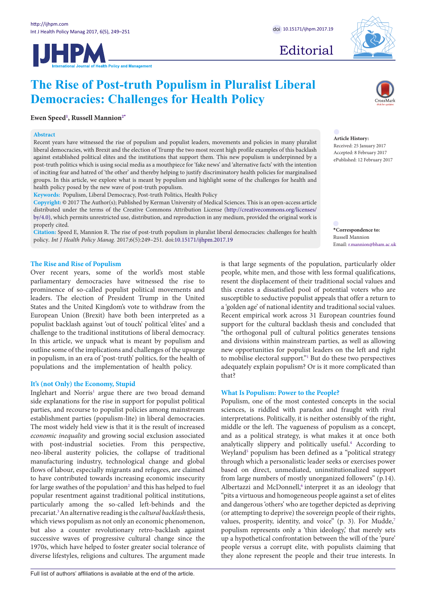

Editorial



# **Democracies: Challenges for Health Policy Ewen Spee[d1](#page-2-0) , Russell Mannio[n2](#page-2-1)[\\*](#page-0-0)**

**The Rise of Post-truth Populism in Pluralist Liberal** 

#### **Abstract**

Recent years have witnessed the rise of populism and populist leaders, movements and policies in many pluralist liberal democracies, with Brexit and the election of Trump the two most recent high profile examples of this backlash against established political elites and the institutions that support them. This new populism is underpinned by a post-truth politics which is using social media as a mouthpiece for 'fake news' and 'alternative facts' with the intention of inciting fear and hatred of 'the other' and thereby helping to justify discriminatory health policies for marginalised groups. In this article, we explore what is meant by populism and highlight some of the challenges for health and health policy posed by the new wave of post-truth populism.

**Keywords:** Populism, Liberal Democracy, Post-truth Politics, Health Policy

**Copyright:** © 2017 The Author(s); Published by Kerman University of Medical Sciences. This is an open-access article distributed under the terms of the Creative Commons Attribution License [\(http://creativecommons.org/licenses/](http://creativecommons.org/licenses/by/4.0) [by/4.0\)](http://creativecommons.org/licenses/by/4.0), which permits unrestricted use, distribution, and reproduction in any medium, provided the original work is properly cited.

**Citation:** Speed E, Mannion R. The rise of post-truth populism in pluralist liberal democracies: challenges for health policy. *Int J Health Policy Manag.* 2017;6(5):249–251. doi:[10.15171/ijhpm.2017.19](http://dx.doi.org/10.15171/ijhpm.2017.19)

## **The Rise and Rise of Populism**

Over recent years, some of the world's most stable parliamentary democracies have witnessed the rise to prominence of so-called populist political movements and leaders. The election of President Trump in the United States and the United Kingdom's vote to withdraw from the European Union (Brexit) have both been interpreted as a populist backlash against 'out of touch' political 'elites' and a challenge to the traditional institutions of liberal democracy. In this article, we unpack what is meant by populism and outline some of the implications and challenges of the upsurge in populism, in an era of 'post-truth' politics, for the health of populations and the implementation of health policy.

## **It's (not Only) the Economy, Stupid**

Inglehart and Norris<sup>[1](#page-2-2)</sup> argue there are two broad demand side explanations for the rise in support for populist political parties, and recourse to populist policies among mainstream establishment parties (populism-lite) in liberal democracies. The most widely held view is that it is the result of increased *economic inequality* and growing social exclusion associated with post-industrial societies. From this perspective, neo-liberal austerity policies, the collapse of traditional manufacturing industry, technological change and global flows of labour, especially migrants and refugees, are claimed to have contributed towards increasing economic insecurity for large swathes of the population<sup>[2](#page-2-3)</sup> and this has helped to fuel popular resentment against traditional political institutions, particularly among the so-called left-behinds and the precariat[.3](#page-2-4)An alternative reading is the *cultural backlash* thesis, which views populism as not only an economic phenomenon, but also a counter revolutionary retro-backlash against successive waves of progressive cultural change since the 1970s, which have helped to foster greater social tolerance of diverse lifestyles, religions and cultures. The argument made is that large segments of the population, particularly older people, white men, and those with less formal qualifications, resent the displacement of their traditional social values and this creates a dissatisfied pool of potential voters who are susceptible to seductive populist appeals that offer a return to a 'golden age' of national identity and traditional social values. Recent empirical work across 31 European countries found support for the cultural backlash thesis and concluded that "the orthogonal pull of cultural politics generates tensions and divisions within mainstream parties, as well as allowing new opportunities for populist leaders on the left and right to mobilise electoral support."[1](#page-2-2) But do these two perspectives adequately explain populism? Or is it more complicated than that?

### **What Is Populism: Power to the People?**

Populism, one of the most contested concepts in the social sciences, is riddled with paradox and fraught with rival interpretations. Politically, it is neither ostensibly of the right, middle or the left. The vagueness of populism as a concept, and as a political strategy, is what makes it at once both analytically slippery and politically useful.<sup>4</sup> According to Weyland<sup>5</sup> populism has been defined as a "political strategy through which a personalistic leader seeks or exercises power based on direct, unmediated, uninstitutionalized support from large numbers of mostly unorganized followers" (p.14). Albertazzi and McDonnell,<sup>6</sup> interpret it as an ideology that "pits a virtuous and homogeneous people against a set of elites and dangerous 'others' who are together depicted as depriving (or attempting to deprive) the sovereign people of their rights, values, prosperity, identity, and voice" (p. 3). For Mudde, $^7$  $^7$ populism represents only a 'thin ideology,' that merely sets up a hypothetical confrontation between the will of the 'pure' people versus a corrupt elite, with populists claiming that they alone represent the people and their true interests. In

<span id="page-0-0"></span>**\*Correspondence to:** Russell Mannion Email: r.mannion@bham.ac.uk

**Article History:** Received: 25 January 2017 Accepted: 8 February 2017 ePublished: 12 February 2017

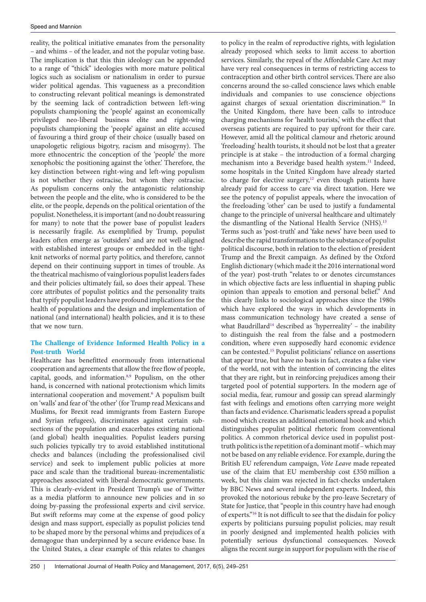reality, the political initiative emanates from the personality – and whims – of the leader, and not the popular voting base. The implication is that this thin ideology can be appended to a range of "thick" ideologies with more mature political logics such as socialism or nationalism in order to pursue wider political agendas. This vagueness as a precondition to constructing relevant political meanings is demonstrated by the seeming lack of contradiction between left-wing populists championing the 'people' against an economically privileged neo-liberal business elite and right-wing populists championing the 'people' against an elite accused of favouring a third group of their choice (usually based on unapologetic religious bigotry, racism and misogyny). The more ethnocentric the conception of the 'people' the more xenophobic the positioning against the 'other.' Therefore, the key distinction between right-wing and left-wing populism is not whether they ostracise, but whom they ostracise. As populism concerns only the antagonistic relationship between the people and the elite, who is considered to be the elite, or the people, depends on the political orientation of the populist. Nonetheless, it is important (and no doubt reassuring for many) to note that the power base of populist leaders is necessarily fragile. As exemplified by Trump, populist leaders often emerge as 'outsiders' and are not well-aligned with established interest groups or embedded in the tightknit networks of normal party politics, and therefore, cannot depend on their continuing support in times of trouble. As the theatrical machismo of vainglorious populist leaders fades and their policies ultimately fail, so does their appeal. These core attributes of populist politics and the personality traits that typify populist leaders have profound implications for the health of populations and the design and implementation of national (and international) health policies, and it is to these that we now turn.

## **The Challenge of Evidence Informed Health Policy in a Post-truth World**

Healthcare has benefitted enormously from international cooperation and agreements that allow the free flow of people, capital, goods, and information.<sup>[8](#page-2-9),[9](#page-2-10)</sup> Populism, on the other hand, is concerned with national protectionism which limits international cooperation and movement.<sup>6</sup> A populism built on 'walls' and fear of 'the other' (for Trump read Mexicans and Muslims, for Brexit read immigrants from Eastern Europe and Syrian refugees), discriminates against certain subsections of the population and exacerbates existing national (and global) health inequalities. Populist leaders pursing such policies typically try to avoid established institutional checks and balances (including the professionalised civil service) and seek to implement public policies at more pace and scale than the traditional bureau-incrementalistic approaches associated with liberal-democratic governments. This is clearly-evident in President Trump's use of Twitter as a media platform to announce new policies and in so doing by-passing the professional experts and civil service. But swift reforms may come at the expense of good policy design and mass support, especially as populist policies tend to be shaped more by the personal whims and prejudices of a demagogue than underpinned by a secure evidence base. In the United States, a clear example of this relates to changes

to policy in the realm of reproductive rights, with legislation already proposed which seeks to limit access to abortion services. Similarly, the repeal of the Affordable Care Act may have very real consequences in terms of restricting access to contraception and other birth control services.There are also concerns around the so-called conscience laws which enable individuals and companies to use conscience objections against charges of sexual orientation discrimination[.10](#page-2-11) In the United Kingdom, there have been calls to introduce charging mechanisms for 'health tourists,' with the effect that overseas patients are required to pay upfront for their care. However, amid all the political clamour and rhetoric around 'freeloading' health tourists, it should not be lost that a greater principle is at stake – the introduction of a formal charging mechanism into a Beveridge based health system.<sup>[11](#page-2-12)</sup> Indeed, some hospitals in the United Kingdom have already started to charge for elective surgery, $12$  even though patients have already paid for access to care via direct taxation. Here we see the potency of populist appeals, where the invocation of the freeloading 'other' can be used to justify a fundamental change to the principle of universal healthcare and ultimately the dismantling of the National Health Service (NHS).<sup>[13](#page-2-14)</sup>

Terms such as 'post-truth' and 'fake news' have been used to describe the rapid transformations to the substance of populist political discourse, both in relation to the election of president Trump and the Brexit campaign. As defined by the Oxford English dictionary (which made it the 2016 international word of the year) post-truth "relates to or denotes circumstances in which objective facts are less influential in shaping public opinion than appeals to emotion and personal belief." And this clearly links to sociological approaches since the 1980s which have explored the ways in which developments in mass communication technology have created a sense of what Baudrillard<sup>14</sup> described as 'hyperreality' – the inability to distinguish the real from the false and a postmodern condition, where even supposedly hard economic evidence can be contested.[15](#page-2-16) Populist politicians' reliance on assertions that appear true, but have no basis in fact, creates a false view of the world, not with the intention of convincing the elites that they are right, but in reinforcing prejudices among their targeted pool of potential supporters. In the modern age of social media, fear, rumour and gossip can spread alarmingly fast with feelings and emotions often carrying more weight than facts and evidence. Charismatic leaders spread a populist mood which creates an additional emotional hook and which distinguishes populist political rhetoric from conventional politics. A common rhetorical device used in populist posttruth politics is the repetition of a dominant motif – which may not be based on any reliable evidence. For example, during the British EU referendum campaign, *Vote Leave* made repeated use of the claim that EU membership cost £350 million a week, but this claim was rejected in fact-checks undertaken by BBC News and several independent experts. Indeed, this provoked the notorious rebuke by the pro-leave Secretary of State for Justice, that "people in this country have had enough of experts."[16](#page-2-17) It is not difficult to see that the disdain for policy experts by politicians pursuing populist policies, may result in poorly designed and implemented health policies with potentially serious dysfunctional consequences. Noveck aligns the recent surge in support for populism with the rise of